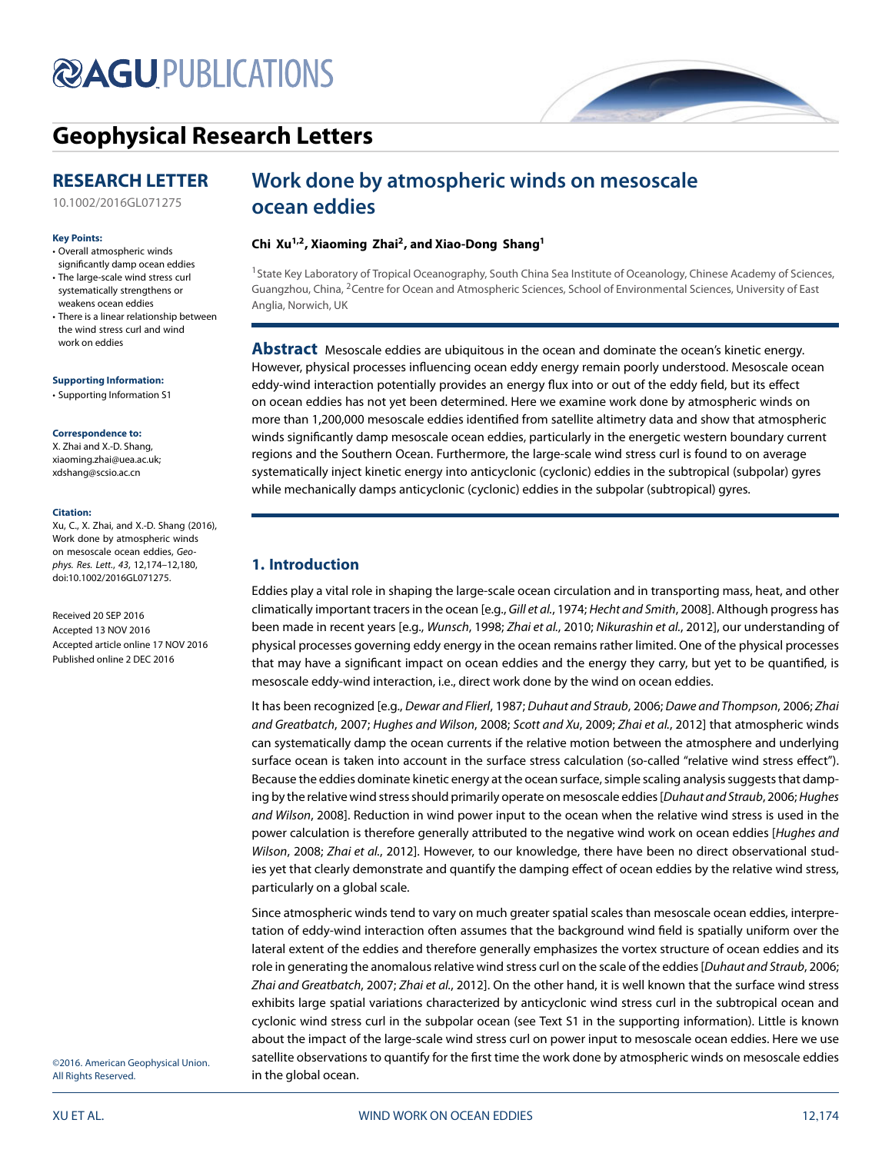# **@AGUPUBLICATIONS**

## **[Geophysical Research Letters](http://onlinelibrary.wiley.com/journal/10.1002/(ISSN)1944-8007)**

### **RESEARCH LETTER**

### **Key Points:**

- Overall atmospheric winds significantly damp ocean eddies
- The large-scale wind stress curl systematically strengthens or weakens ocean eddies
- There is a linear relationship between the wind stress curl and wind work on eddies

### **Supporting Information:**

[• Supporting Information S](http://dx.doi.org/10.1002/2016GL071275)1

### **Correspondence to:**

X. Zhai and X.-D. Shang, xiaoming.zhai@uea.ac.uk; xdshang@scsio.ac.cn

### **Citation:**

Xu, C., X. Zhai, and X.-D. Shang (2016), Work done by atmospheric winds on mesoscale ocean eddies, Geophys. Res. Lett., 43, 12,174–12,180, doi:10.1002/2016GL071275.

Received 20 SEP 2016 Accepted 13 NOV 2016 Accepted article online 17 NOV 2016 Published online 2 DEC 2016

### [10.1002/2016GL071275](http://dx.doi.org/10.1002/2016GL071275)

## **Work done by atmospheric winds on mesoscale ocean eddies**

### **Chi Xu1,2, Xiaoming Zhai2, and Xiao-Dong Shang1**

<sup>1</sup> State Key Laboratory of Tropical Oceanography, South China Sea Institute of Oceanology, Chinese Academy of Sciences, Guangzhou, China, 2Centre for Ocean and Atmospheric Sciences, School of Environmental Sciences, University of East Anglia, Norwich, UK

**Abstract** Mesoscale eddies are ubiquitous in the ocean and dominate the ocean's kinetic energy. However, physical processes influencing ocean eddy energy remain poorly understood. Mesoscale ocean eddy-wind interaction potentially provides an energy flux into or out of the eddy field, but its effect on ocean eddies has not yet been determined. Here we examine work done by atmospheric winds on more than 1,200,000 mesoscale eddies identified from satellite altimetry data and show that atmospheric winds significantly damp mesoscale ocean eddies, particularly in the energetic western boundary current regions and the Southern Ocean. Furthermore, the large-scale wind stress curl is found to on average systematically inject kinetic energy into anticyclonic (cyclonic) eddies in the subtropical (subpolar) gyres while mechanically damps anticyclonic (cyclonic) eddies in the subpolar (subtropical) gyres.

### <span id="page-0-0"></span>**1. Introduction**

Eddies play a vital role in shaping the large-scale ocean circulation and in transporting mass, heat, and other climatically important tracers in the ocean [e.g., Gill et al., [1974;](#page-5-0) Hecht and Smith, [2008\]](#page-5-1). Although progress has been made in recent years [e.g., Wunsch, [1998;](#page-6-0) Zhai et al., [2010;](#page-6-1) Nikurashin et al., [2012\]](#page-6-2), our understanding of physical processes governing eddy energy in the ocean remains rather limited. One of the physical processes that may have a significant impact on ocean eddies and the energy they carry, but yet to be quantified, is mesoscale eddy-wind interaction, i.e., direct work done by the wind on ocean eddies.

It has been recognized [e.g., Dewar and Flierl, [1987;](#page-5-2) Duhaut and Straub, [2006;](#page-5-3) Dawe and Thompson, [2006;](#page-5-4) Zhai and Greatbatch, [2007;](#page-6-3) Hughes and Wilson, [2008;](#page-5-5) Scott and Xu, [2009;](#page-6-4) Zhai et al., [2012\]](#page-6-5) that atmospheric winds can systematically damp the ocean currents if the relative motion between the atmosphere and underlying surface ocean is taken into account in the surface stress calculation (so-called "relative wind stress effect"). Because the eddies dominate kinetic energy at the ocean surface, simple scaling analysis suggests that damp-ing by the relative wind stress should primarily operate on mesoscale eddies [Duhaut and Straub, [2006;](#page-5-3) Hughes and Wilson, [2008\]](#page-5-5). Reduction in wind power input to the ocean when the relative wind stress is used in the power calculation is therefore generally attributed to the negative wind work on ocean eddies [Hughes and Wilson, [2008;](#page-5-5) Zhai et al., [2012\]](#page-6-5). However, to our knowledge, there have been no direct observational studies yet that clearly demonstrate and quantify the damping effect of ocean eddies by the relative wind stress, particularly on a global scale.

Since atmospheric winds tend to vary on much greater spatial scales than mesoscale ocean eddies, interpretation of eddy-wind interaction often assumes that the background wind field is spatially uniform over the lateral extent of the eddies and therefore generally emphasizes the vortex structure of ocean eddies and its role in generating the anomalous relative wind stress curl on the scale of the eddies [Duhaut and Straub, [2006;](#page-5-3) Zhai and Greatbatch, [2007;](#page-6-3) Zhai et al., [2012\]](#page-6-5). On the other hand, it is well known that the surface wind stress exhibits large spatial variations characterized by anticyclonic wind stress curl in the subtropical ocean and cyclonic wind stress curl in the subpolar ocean (see Text S1 in the supporting information). Little is known about the impact of the large-scale wind stress curl on power input to mesoscale ocean eddies. Here we use satellite observations to quantify for the first time the work done by atmospheric winds on mesoscale eddies in the global ocean.

©2016. American Geophysical Union. All Rights Reserved.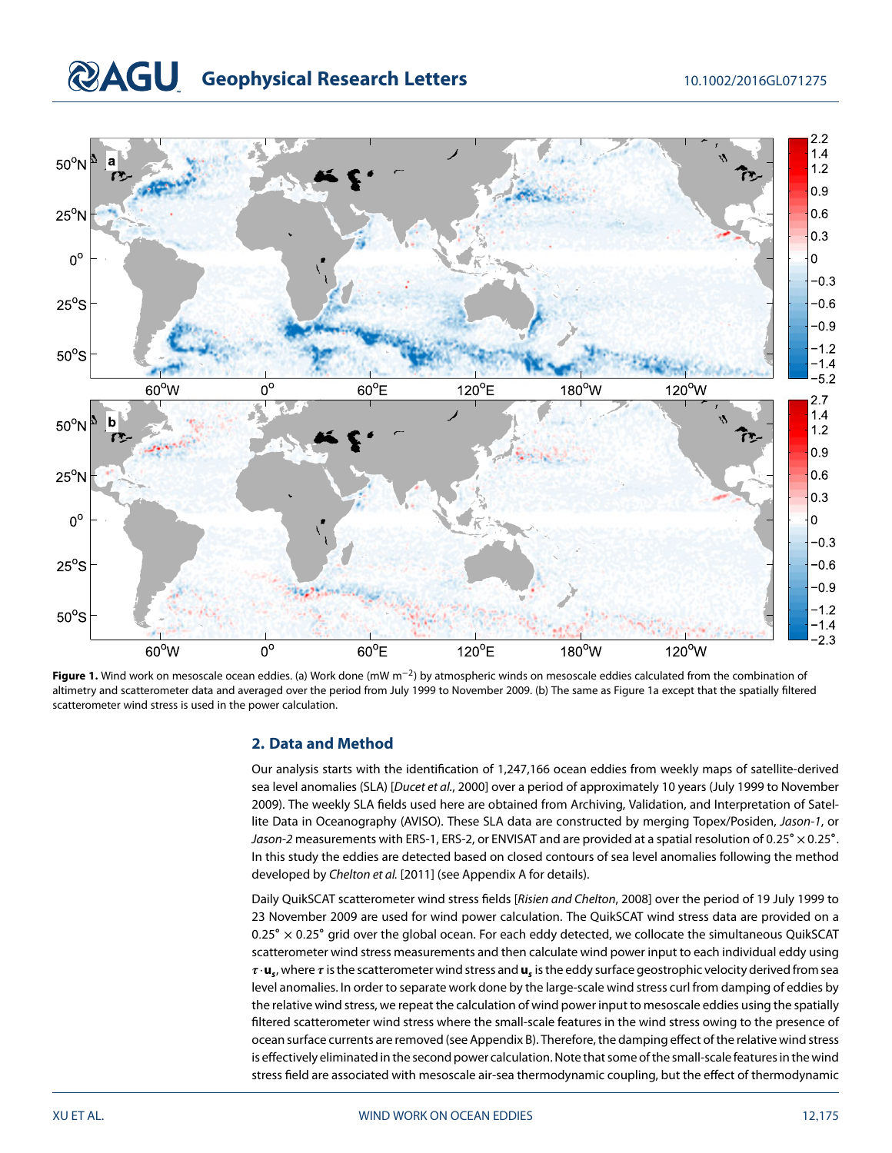# **COAGU** Geophysical Research Letters 10.1002/2016GL071275



<span id="page-1-0"></span>**Figure 1.** Wind work on mesoscale ocean eddies. (a) Work done (mW m<sup>−2</sup>) by atmospheric winds on mesoscale eddies calculated from the combination of altimetry and scatterometer data and averaged over the period from July 1999 to November 2009. (b) The same as Figure 1a except that the spatially filtered scatterometer wind stress is used in the power calculation.

### **2. Data and Method**

Our analysis starts with the identification of 1,247,166 ocean eddies from weekly maps of satellite-derived sea level anomalies (SLA) [Ducet et al., [2000\]](#page-5-6) over a period of approximately 10 years (July 1999 to November 2009). The weekly SLA fields used here are obtained from Archiving, Validation, and Interpretation of Satellite Data in Oceanography (AVISO). These SLA data are constructed by merging Topex/Posiden, Jason-1, or Jason-2 measurements with ERS-1, ERS-2, or ENVISAT and are provided at a spatial resolution of 0*.*25∘ × 0*.*25∘. In this study the eddies are detected based on closed contours of sea level anomalies following the method developed by Chelton et al. [\[2011\]](#page-5-7) (see Appendix A for details).

Daily QuikSCAT scatterometer wind stress fields [Risien and Chelton, [2008\]](#page-6-6) over the period of 19 July 1999 to 23 November 2009 are used for wind power calculation. The QuikSCAT wind stress data are provided on a 0*.*25∘ × 0*.*25∘ grid over the global ocean. For each eddy detected, we collocate the simultaneous QuikSCAT scatterometer wind stress measurements and then calculate wind power input to each individual eddy using  $\tau \cdot u_s$ , where  $\tau$  is the scatterometer wind stress and  $u_s$  is the eddy surface geostrophic velocity derived from sea level anomalies. In order to separate work done by the large-scale wind stress curl from damping of eddies by the relative wind stress, we repeat the calculation of wind power input to mesoscale eddies using the spatially filtered scatterometer wind stress where the small-scale features in the wind stress owing to the presence of ocean surface currents are removed (see Appendix B). Therefore, the damping effect of the relative wind stress is effectively eliminated in the second power calculation. Note that some of the small-scalefeatures in the wind stress field are associated with mesoscale air-sea thermodynamic coupling, but the effect of thermodynamic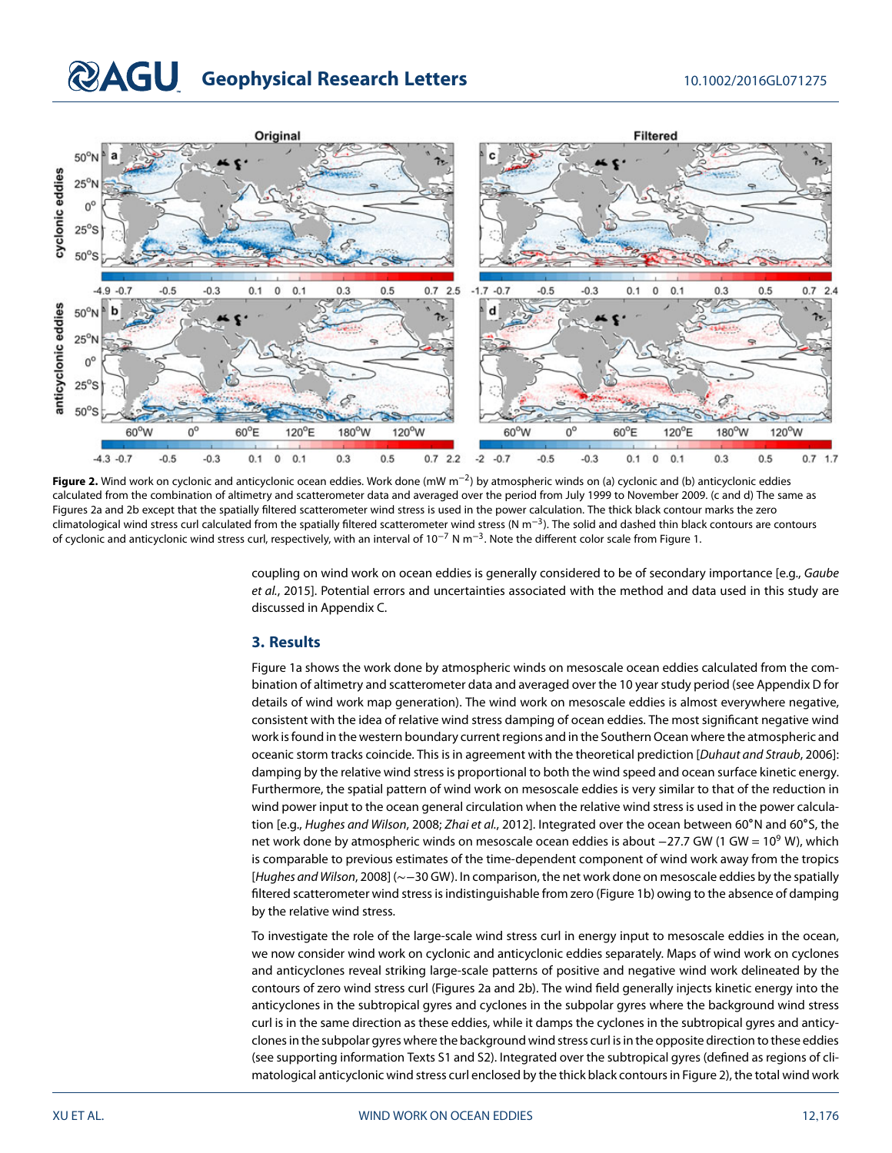# **COAGU** Geophysical Research Letters 10.1002/2016GL071275



<span id="page-2-0"></span>**Figure 2.** Wind work on cyclonic and anticyclonic ocean eddies. Work done (mW m<sup>−</sup>2) by atmospheric winds on (a) cyclonic and (b) anticyclonic eddies calculated from the combination of altimetry and scatterometer data and averaged over the period from July 1999 to November 2009. (c and d) The same as Figures [2a](#page-2-0) and [2b](#page-2-0) except that the spatially filtered scatterometer wind stress is used in the power calculation. The thick black contour marks the zero climatological wind stress curl calculated from the spatially filtered scatterometer wind stress (N m<sup>−</sup>3). The solid and dashed thin black contours are contours of cyclonic and anticyclonic wind stress curl, respectively, with an interval of  $10^{-7}$  N m<sup>-3</sup>. Note the different color scale from Figure [1.](#page-1-0)

coupling on wind work on ocean eddies is generally considered to be of secondary importance [e.g., Gaube et al., [2015\]](#page-5-8). Potential errors and uncertainties associated with the method and data used in this study are discussed in Appendix C.

### **3. Results**

Figure [1a](#page-1-0) shows the work done by atmospheric winds on mesoscale ocean eddies calculated from the combination of altimetry and scatterometer data and averaged over the 10 year study period (see Appendix D for details of wind work map generation). The wind work on mesoscale eddies is almost everywhere negative, consistent with the idea of relative wind stress damping of ocean eddies. The most significant negative wind work is found in the western boundary current regions and in the Southern Ocean where the atmospheric and oceanic storm tracks coincide. This is in agreement with the theoretical prediction [Duhaut and Straub, [2006\]](#page-5-3): damping by the relative wind stress is proportional to both the wind speed and ocean surface kinetic energy. Furthermore, the spatial pattern of wind work on mesoscale eddies is very similar to that of the reduction in wind power input to the ocean general circulation when the relative wind stress is used in the power calcula-tion [e.g., Hughes and Wilson, [2008;](#page-5-5) Zhai et al., [2012\]](#page-6-5). Integrated over the ocean between 60°N and 60°S, the net work done by atmospheric winds on mesoscale ocean eddies is about −27.7 GW (1 GW = 10<sup>9</sup> W), which is comparable to previous estimates of the time-dependent component of wind work away from the tropics [Hughes and Wilson, [2008\]](#page-5-5) (∼−30 GW). In comparison, the net work done on mesoscale eddies by the spatially filtered scatterometer wind stress is indistinguishable from zero (Figure [1b](#page-1-0)) owing to the absence of damping by the relative wind stress.

To investigate the role of the large-scale wind stress curl in energy input to mesoscale eddies in the ocean, we now consider wind work on cyclonic and anticyclonic eddies separately. Maps of wind work on cyclones and anticyclones reveal striking large-scale patterns of positive and negative wind work delineated by the contours of zero wind stress curl (Figures [2a](#page-2-0) and [2b](#page-2-0)). The wind field generally injects kinetic energy into the anticyclones in the subtropical gyres and cyclones in the subpolar gyres where the background wind stress curl is in the same direction as these eddies, while it damps the cyclones in the subtropical gyres and anticyclones in the subpolar gyres where the background wind stress curl is in the opposite direction to these eddies (see supporting information Texts S1 and S2). Integrated over the subtropical gyres (defined as regions of climatological anticyclonic wind stress curl enclosed by the thick black contours in Figure [2\)](#page-2-0), the total wind work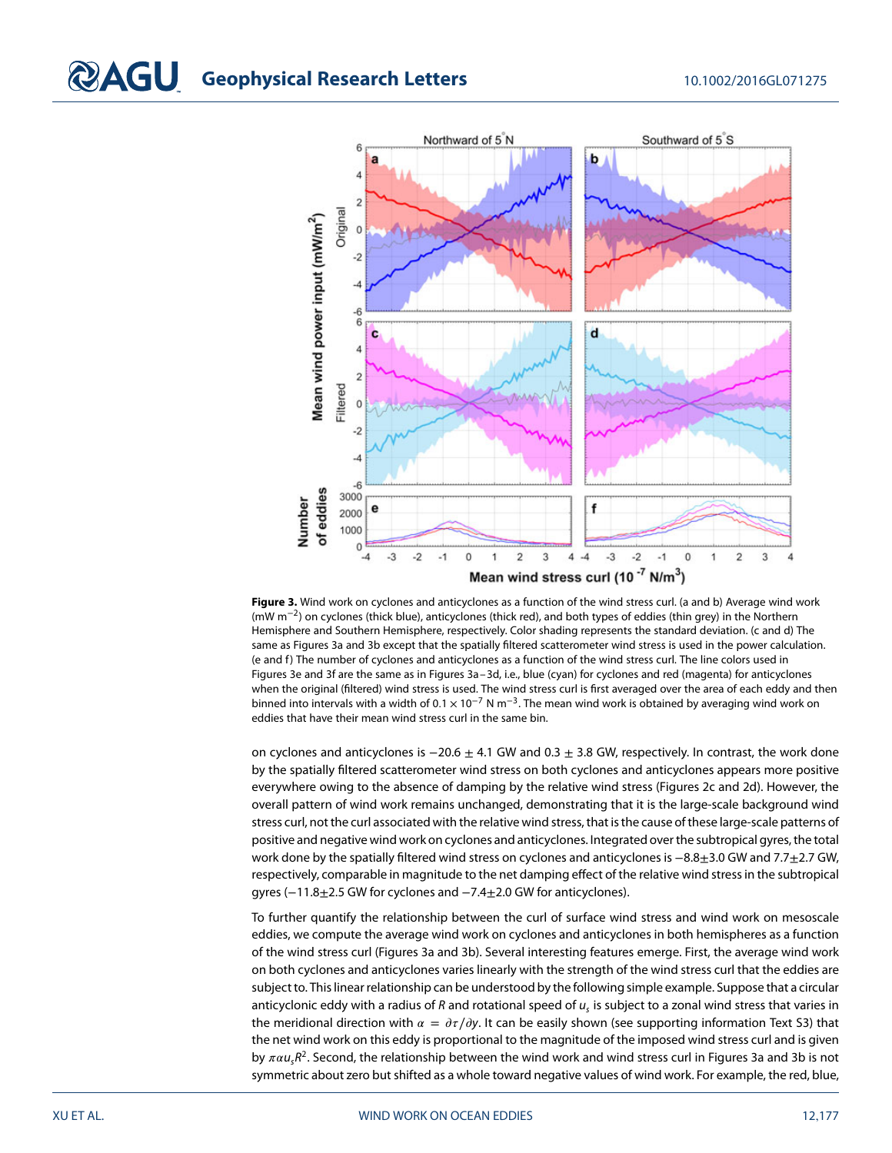

<span id="page-3-0"></span>**Figure 3.** Wind work on cyclones and anticyclones as a function of the wind stress curl. (a and b) Average wind work (mW m<sup>−</sup>2) on cyclones (thick blue), anticyclones (thick red), and both types of eddies (thin grey) in the Northern Hemisphere and Southern Hemisphere, respectively. Color shading represents the standard deviation. (c and d) The same as Figures [3a](#page-3-0) and [3b](#page-3-0) except that the spatially filtered scatterometer wind stress is used in the power calculation. (e and f) The number of cyclones and anticyclones as a function of the wind stress curl. The line colors used in Figures [3e](#page-3-0) and [3f](#page-3-0) are the same as in Figures [3a–3d](#page-3-0), i.e., blue (cyan) for cyclones and red (magenta) for anticyclones when the original (filtered) wind stress is used. The wind stress curl is first averaged over the area of each eddy and then binned into intervals with a width of 0*.*1 × 10−<sup>7</sup> N m<sup>−</sup>3. The mean wind work is obtained by averaging wind work on eddies that have their mean wind stress curl in the same bin.

on cyclones and anticyclones is  $-20.6 \pm 4.1$  GW and 0.3  $\pm$  3.8 GW, respectively. In contrast, the work done by the spatially filtered scatterometer wind stress on both cyclones and anticyclones appears more positive everywhere owing to the absence of damping by the relative wind stress (Figures [2c](#page-2-0) and [2d](#page-2-0)). However, the overall pattern of wind work remains unchanged, demonstrating that it is the large-scale background wind stress curl, not the curl associated with the relative wind stress, that is the cause of these large-scale patterns of positive and negative wind work on cyclones and anticyclones. Integrated over the subtropical gyres, the total work done by the spatially filtered wind stress on cyclones and anticyclones is −8.8±3.0 GW and 7.7±2.7 GW, respectively, comparable in magnitude to the net damping effect of the relative wind stress in the subtropical gyres (−11.8±2.5 GW for cyclones and −7.4±2.0 GW for anticyclones).

To further quantify the relationship between the curl of surface wind stress and wind work on mesoscale eddies, we compute the average wind work on cyclones and anticyclones in both hemispheres as a function of the wind stress curl (Figures [3a](#page-3-0) and [3b](#page-3-0)). Several interesting features emerge. First, the average wind work on both cyclones and anticyclones varies linearly with the strength of the wind stress curl that the eddies are subject to. This linear relationship can be understood by the following simple example. Suppose that a circular anticyclonic eddy with a radius of R and rotational speed of  $u<sub>c</sub>$  is subject to a zonal wind stress that varies in the meridional direction with  $\alpha = \partial \tau / \partial y$ . It can be easily shown (see supporting information Text S3) that the net wind work on this eddy is proportional to the magnitude of the imposed wind stress curl and is given by  $\pi \alpha u_5 R^2$ . Second, the relationship between the wind work and wind stress curl in Figures [3a](#page-3-0) and [3b](#page-3-0) is not symmetric about zero but shifted as a whole toward negative values of wind work. For example, the red, blue,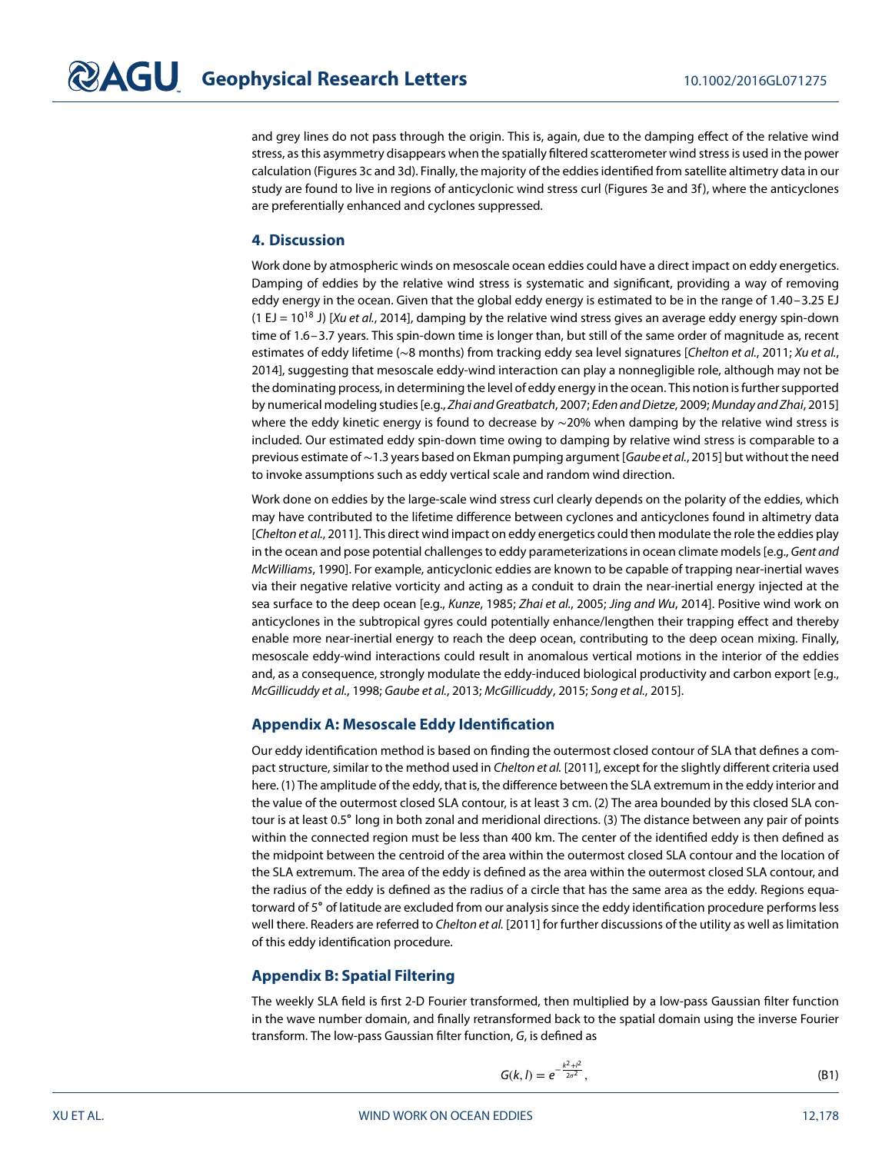and grey lines do not pass through the origin. This is, again, due to the damping effect of the relative wind stress, as this asymmetry disappears when the spatially filtered scatterometer wind stress is used in the power calculation (Figures [3c](#page-3-0) and [3d](#page-3-0)). Finally, the majority of the eddies identified from satellite altimetry data in our study are found to live in regions of anticyclonic wind stress curl (Figures [3e](#page-3-0) and [3f](#page-3-0)), where the anticyclones are preferentially enhanced and cyclones suppressed.

### **4. Discussion**

Work done by atmospheric winds on mesoscale ocean eddies could have a direct impact on eddy energetics. Damping of eddies by the relative wind stress is systematic and significant, providing a way of removing eddy energy in the ocean. Given that the global eddy energy is estimated to be in the range of 1.40–3.25 EJ (1 EJ =  $10^{18}$  J) [Xu et al., [2014\]](#page-6-7), damping by the relative wind stress gives an average eddy energy spin-down time of 1.6–3.7 years. This spin-down time is longer than, but still of the same order of magnitude as, recent estimates of eddy lifetime (~8 months) from tracking eddy sea level signatures [Chelton et al., [2011;](#page-5-7) Xu et al., [2014\]](#page-6-7), suggesting that mesoscale eddy-wind interaction can play a nonnegligible role, although may not be the dominating process, in determining the level of eddy energy in the ocean. This notion is further supported by numerical modeling studies [e.g., Zhai and Greatbatch, [2007;](#page-6-3) Eden and Dietze, [2009;](#page-5-9) Munday and Zhai, [2015\]](#page-6-8) where the eddy kinetic energy is found to decrease by ~20% when damping by the relative wind stress is included. Our estimated eddy spin-down time owing to damping by relative wind stress is comparable to a previous estimate of ~1.3 years based on Ekman pumping argument [Gaube et al., [2015\]](#page-5-8) but without the need to invoke assumptions such as eddy vertical scale and random wind direction.

Work done on eddies by the large-scale wind stress curl clearly depends on the polarity of the eddies, which may have contributed to the lifetime difference between cyclones and anticyclones found in altimetry data [Chelton et al., [2011\]](#page-5-7). This direct wind impact on eddy energetics could then modulate the role the eddies play in the ocean and pose potential challenges to eddy parameterizations in ocean climate models [e.g., Gent and McWilliams, [1990\]](#page-5-10). For example, anticyclonic eddies are known to be capable of trapping near-inertial waves via their negative relative vorticity and acting as a conduit to drain the near-inertial energy injected at the sea surface to the deep ocean [e.g., Kunze, [1985;](#page-5-11) Zhai et al., [2005;](#page-6-9) Jing and Wu, [2014\]](#page-5-12). Positive wind work on anticyclones in the subtropical gyres could potentially enhance/lengthen their trapping effect and thereby enable more near-inertial energy to reach the deep ocean, contributing to the deep ocean mixing. Finally, mesoscale eddy-wind interactions could result in anomalous vertical motions in the interior of the eddies and, as a consequence, strongly modulate the eddy-induced biological productivity and carbon export [e.g., McGillicuddy et al., [1998;](#page-6-10) Gaube et al., [2013;](#page-5-13) McGillicuddy, [2015;](#page-5-14) Song et al., [2015\]](#page-6-11).

### **[A](#page-0-0)ppendix [A:](#page-0-0) Mesoscale Eddy Identification**

Our eddy identification method is based on finding the outermost closed contour of SLA that defines a compact structure, similar to the method used in Chelton et al. [\[2011\]](#page-5-7), except for the slightly different criteria used here. (1) The amplitude of the eddy, that is, the difference between the SLA extremum in the eddy interior and the value of the outermost closed SLA contour, is at least 3 cm. (2) The area bounded by this closed SLA contour is at least 0.5∘ long in both zonal and meridional directions. (3) The distance between any pair of points within the connected region must be less than 400 km. The center of the identified eddy is then defined as the midpoint between the centroid of the area within the outermost closed SLA contour and the location of the SLA extremum. The area of the eddy is defined as the area within the outermost closed SLA contour, and the radius of the eddy is defined as the radius of a circle that has the same area as the eddy. Regions equatorward of 5∘ of latitude are excluded from our analysis since the eddy identification procedure performs less well there. Readers are referred to Chelton et al. [\[2011\]](#page-5-7) for further discussions of the utility as well as limitation of this eddy identification procedure.

### **[A](#page-0-0)ppendix [B:](#page-0-0) Spatial Filtering**

The weekly SLA field is first 2-D Fourier transformed, then multiplied by a low-pass Gaussian filter function in the wave number domain, and finally retransformed back to the spatial domain using the inverse Fourier transform. The low-pass Gaussian filter function, G, is defined as

$$
G(k, l) = e^{-\frac{k^2 + l^2}{2\sigma^2}},
$$
\n(B1)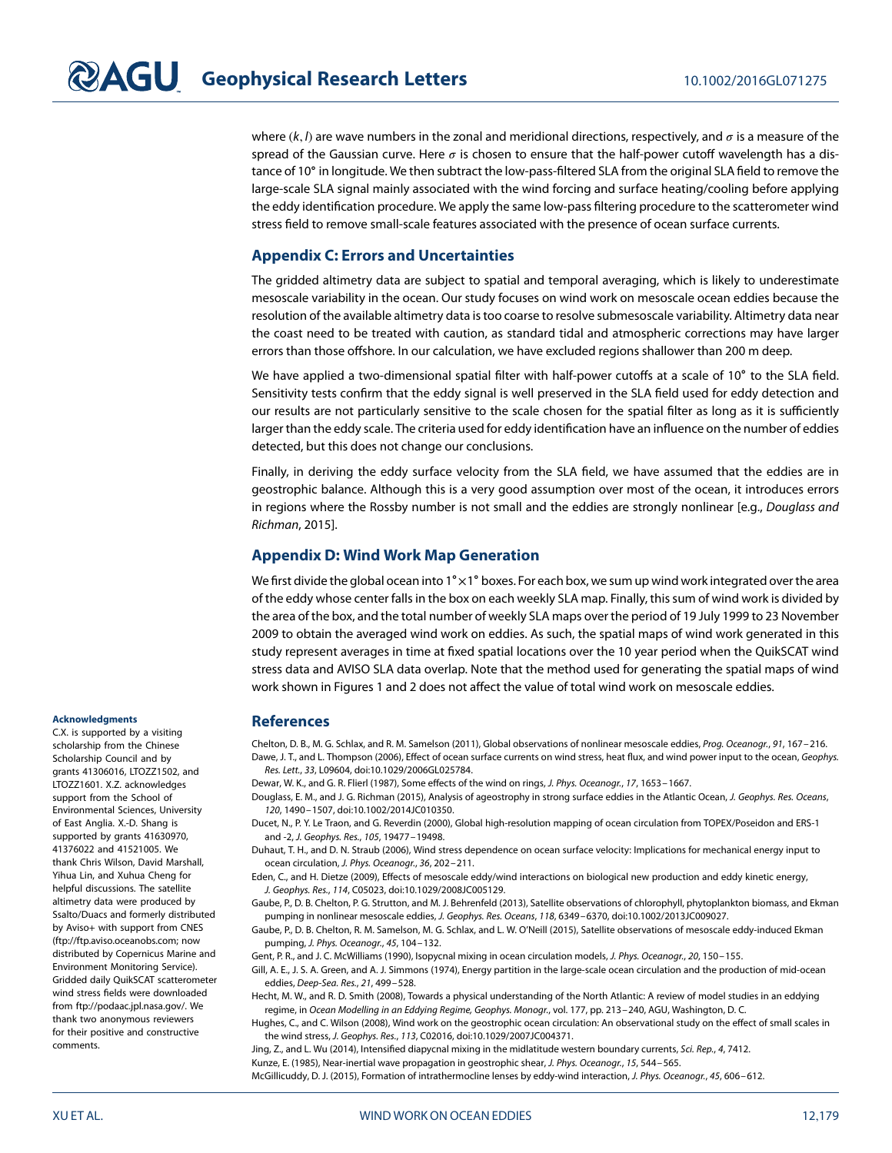where  $(k, l)$  are wave numbers in the zonal and meridional directions, respectively, and  $\sigma$  is a measure of the spread of the Gaussian curve. Here  $\sigma$  is chosen to ensure that the half-power cutoff wavelength has a distance of 10∘ in longitude. We then subtract the low-pass-filtered SLA from the original SLA field to remove the large-scale SLA signal mainly associated with the wind forcing and surface heating/cooling before applying the eddy identification procedure. We apply the same low-pass filtering procedure to the scatterometer wind stress field to remove small-scale features associated with the presence of ocean surface currents.

### **[A](#page-0-0)ppendix [C:](#page-0-0) Errors and Uncertainties**

The gridded altimetry data are subject to spatial and temporal averaging, which is likely to underestimate mesoscale variability in the ocean. Our study focuses on wind work on mesoscale ocean eddies because the resolution of the available altimetry data is too coarse to resolve submesoscale variability. Altimetry data near the coast need to be treated with caution, as standard tidal and atmospheric corrections may have larger errors than those offshore. In our calculation, we have excluded regions shallower than 200 m deep.

We have applied a two-dimensional spatial filter with half-power cutoffs at a scale of 10∘ to the SLA field. Sensitivity tests confirm that the eddy signal is well preserved in the SLA field used for eddy detection and our results are not particularly sensitive to the scale chosen for the spatial filter as long as it is sufficiently larger than the eddy scale. The criteria used for eddy identification have an influence on the number of eddies detected, but this does not change our conclusions.

Finally, in deriving the eddy surface velocity from the SLA field, we have assumed that the eddies are in geostrophic balance. Although this is a very good assumption over most of the ocean, it introduces errors in regions where the Rossby number is not small and the eddies are strongly nonlinear [e.g., Douglass and Richman, [2015\]](#page-5-15).

### **[A](#page-0-0)ppendix [D:](#page-0-0) Wind Work Map Generation**

We first divide the global ocean into 1°×1° boxes. For each box, we sum up wind work integrated over the area of the eddy whose center falls in the box on each weekly SLA map. Finally, this sum of wind work is divided by the area of the box, and the total number of weekly SLA maps over the period of 19 July 1999 to 23 November 2009 to obtain the averaged wind work on eddies. As such, the spatial maps of wind work generated in this study represent averages in time at fixed spatial locations over the 10 year period when the QuikSCAT wind stress data and AVISO SLA data overlap. Note that the method used for generating the spatial maps of wind work shown in Figures 1 and 2 does not affect the value of total wind work on mesoscale eddies.

### **References**

<span id="page-5-7"></span><span id="page-5-4"></span>Chelton, D. B., M. G. Schlax, and R. M. Samelson (2011), Global observations of nonlinear mesoscale eddies, Prog. Oceanogr., 91, 167–216. Dawe, J. T., and L. Thompson (2006), Effect of ocean surface currents on wind stress, heat flux, and wind power input to the ocean, Geophys. Res. Lett., 33, L09604, doi[:10.1029/2006GL025784.](http://dx.doi.org/10.1029/2006GL025784)

<span id="page-5-15"></span><span id="page-5-2"></span>Dewar, W. K., and G. R. Flierl (1987), Some effects of the wind on rings, J. Phys. Oceanogr., 17, 1653–1667.

Douglass, E. M., and J. G. Richman (2015), Analysis of ageostrophy in strong surface eddies in the Atlantic Ocean, J. Geophys. Res. Oceans, 120, 1490–1507, doi[:10.1002/2014JC010350.](http://dx.doi.org/10.1002/2014JC010350)

<span id="page-5-6"></span>Ducet, N., P. Y. Le Traon, and G. Reverdin (2000), Global high-resolution mapping of ocean circulation from TOPEX/Poseidon and ERS-1 and -2, J. Geophys. Res., 105, 19477–19498.

<span id="page-5-3"></span>Duhaut, T. H., and D. N. Straub (2006), Wind stress dependence on ocean surface velocity: Implications for mechanical energy input to ocean circulation, J. Phys. Oceanogr., 36, 202–211.

<span id="page-5-9"></span>Eden, C., and H. Dietze (2009), Effects of mesoscale eddy/wind interactions on biological new production and eddy kinetic energy, J. Geophys. Res., 114, C05023, doi[:10.1029/2008JC005129.](http://dx.doi.org/10.1029/2008JC005129)

<span id="page-5-13"></span>Gaube, P., D. B. Chelton, P. G. Strutton, and M. J. Behrenfeld (2013), Satellite observations of chlorophyll, phytoplankton biomass, and Ekman pumping in nonlinear mesoscale eddies, J. Geophys. Res. Oceans, 118, 6349–6370, doi[:10.1002/2013JC009027.](http://dx.doi.org/10.1002/2013JC009027)

<span id="page-5-8"></span>Gaube, P., D. B. Chelton, R. M. Samelson, M. G. Schlax, and L. W. O'Neill (2015), Satellite observations of mesoscale eddy-induced Ekman pumping, J. Phys. Oceanogr., 45, 104–132.

<span id="page-5-10"></span><span id="page-5-0"></span>Gent, P. R., and J. C. McWilliams (1990), Isopycnal mixing in ocean circulation models, J. Phys. Oceanogr., 20, 150–155.

Gill, A. E., J. S. A. Green, and A. J. Simmons (1974), Energy partition in the large-scale ocean circulation and the production of mid-ocean eddies, Deep-Sea. Res., 21, 499–528.

<span id="page-5-1"></span>Hecht, M. W., and R. D. Smith (2008), Towards a physical understanding of the North Atlantic: A review of model studies in an eddying regime, in Ocean Modelling in an Eddying Regime, Geophys. Monogr., vol. 177, pp. 213–240, AGU, Washington, D. C.

<span id="page-5-5"></span>Hughes, C., and C. Wilson (2008), Wind work on the geostrophic ocean circulation: An observational study on the effect of small scales in the wind stress, J. Geophys. Res., 113, C02016, doi[:10.1029/2007JC004371.](http://dx.doi.org/10.1029/2007JC004371)

<span id="page-5-14"></span><span id="page-5-12"></span><span id="page-5-11"></span>Jing, Z., and L. Wu (2014), Intensified diapycnal mixing in the midlatitude western boundary currents, Sci. Rep., 4, 7412. Kunze, E. (1985), Near-inertial wave propagation in geostrophic shear, J. Phys. Oceanogr., 15, 544-565. McGillicuddy, D. J. (2015), Formation of intrathermocline lenses by eddy-wind interaction, J. Phys. Oceanogr., 45, 606–612.

### **Acknowledgments**

C.X. is supported by a visiting scholarship from the Chinese Scholarship Council and by grants 41306016, LTOZZ1502, and LTOZZ1601. X.Z. acknowledges support from the School of Environmental Sciences, University of East Anglia. X.-D. Shang is supported by grants 41630970, 41376022 and 41521005. We thank Chris Wilson, David Marshall, Yihua Lin, and Xuhua Cheng for helpful discussions. The satellite altimetry data were produced by Ssalto/Duacs and formerly distributed by Aviso+ with support from CNES [\(ftp://ftp.aviso.oceanobs.com;](ftp://ftp.aviso.oceanobs.com) now distributed by Copernicus Marine and Environment Monitoring Service). Gridded daily QuikSCAT scatterometer wind stress fields were downloaded from [ftp://podaac.jpl.nasa.gov/.](ftp://podaac.jpl.nasa.gov/) We thank two anonymous reviewers for their positive and constructive comments.